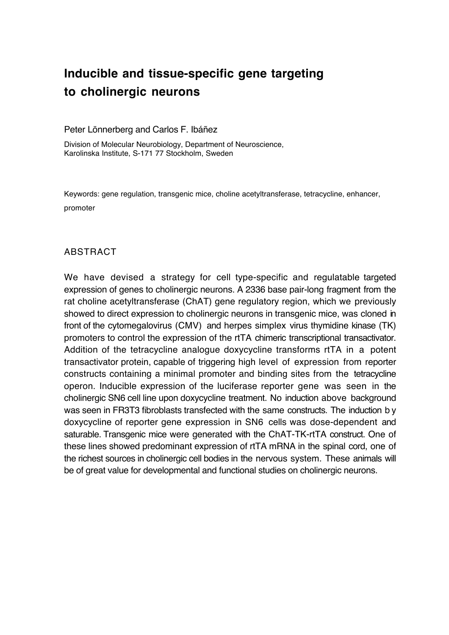# **Inducible and tissue-specific gene targeting to cholinergic neurons**

# Peter Lönnerberg and Carlos F. Ibáñez

Division of Molecular Neurobiology, Department of Neuroscience, Karolinska Institute, S-171 77 Stockholm, Sweden

Keywords: gene regulation, transgenic mice, choline acetyltransferase, tetracycline, enhancer, promoter

# ABSTRACT

We have devised a strategy for cell type-specific and regulatable targeted expression of genes to cholinergic neurons. A 2336 base pair-long fragment from the rat choline acetyltransferase (ChAT) gene regulatory region, which we previously showed to direct expression to cholinergic neurons in transgenic mice, was cloned in front of the cytomegalovirus (CMV) and herpes simplex virus thymidine kinase (TK) promoters to control the expression of the rtTA chimeric transcriptional transactivator. Addition of the tetracycline analogue doxycycline transforms rtTA in a potent transactivator protein, capable of triggering high level of expression from reporter constructs containing a minimal promoter and binding sites from the tetracycline operon. Inducible expression of the luciferase reporter gene was seen in the cholinergic SN6 cell line upon doxycycline treatment. No induction above background was seen in FR3T3 fibroblasts transfected with the same constructs. The induction b y doxycycline of reporter gene expression in SN6 cells was dose-dependent and saturable. Transgenic mice were generated with the ChAT-TK-rtTA construct. One of these lines showed predominant expression of rtTA mRNA in the spinal cord, one of the richest sources in cholinergic cell bodies in the nervous system. These animals will be of great value for developmental and functional studies on cholinergic neurons.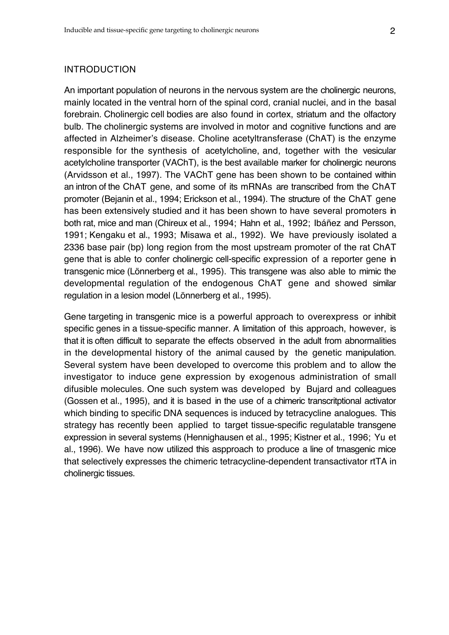### INTRODUCTION

An important population of neurons in the nervous system are the cholinergic neurons, mainly located in the ventral horn of the spinal cord, cranial nuclei, and in the basal forebrain. Cholinergic cell bodies are also found in cortex, striatum and the olfactory bulb. The cholinergic systems are involved in motor and cognitive functions and are affected in Alzheimer's disease. Choline acetyltransferase (ChAT) is the enzyme responsible for the synthesis of acetylcholine, and, together with the vesicular acetylcholine transporter (VAChT), is the best available marker for cholinergic neurons (Arvidsson et al., 1997). The VAChT gene has been shown to be contained within an intron of the ChAT gene, and some of its mRNAs are transcribed from the ChAT promoter (Bejanin et al., 1994; Erickson et al., 1994). The structure of the ChAT gene has been extensively studied and it has been shown to have several promoters in both rat, mice and man (Chireux et al., 1994; Hahn et al., 1992; Ibáñez and Persson, 1991; Kengaku et al., 1993; Misawa et al., 1992). We have previously isolated a 2336 base pair (bp) long region from the most upstream promoter of the rat ChAT gene that is able to confer cholinergic cell-specific expression of a reporter gene in transgenic mice (Lönnerberg et al., 1995). This transgene was also able to mimic the developmental regulation of the endogenous ChAT gene and showed similar regulation in a lesion model (Lönnerberg et al., 1995).

Gene targeting in transgenic mice is a powerful approach to overexpress or inhibit specific genes in a tissue-specific manner. A limitation of this approach, however, is that it is often difficult to separate the effects observed in the adult from abnormalities in the developmental history of the animal caused by the genetic manipulation. Several system have been developed to overcome this problem and to allow the investigator to induce gene expression by exogenous administration of small difusible molecules. One such system was developed by Bujard and colleagues (Gossen et al., 1995), and it is based in the use of a chimeric transcritptional activator which binding to specific DNA sequences is induced by tetracycline analogues. This strategy has recently been applied to target tissue-specific regulatable transgene expression in several systems (Hennighausen et al., 1995; Kistner et al., 1996; Yu et al., 1996). We have now utilized this aspproach to produce a line of trnasgenic mice that selectively expresses the chimeric tetracycline-dependent transactivator rtTA in cholinergic tissues.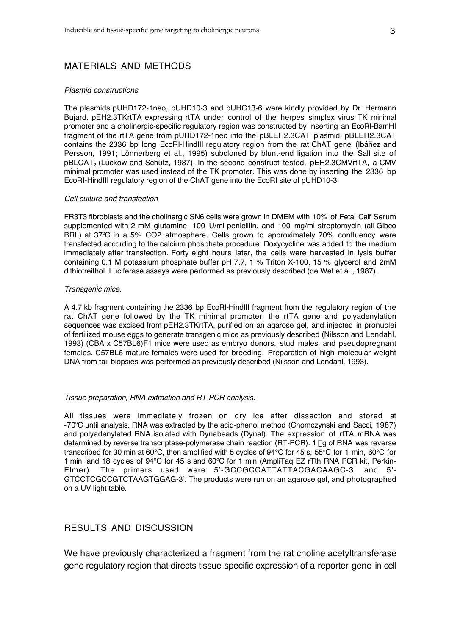# MATERIALS AND METHODS

#### Plasmid constructions

The plasmids pUHD172-1neo, pUHD10-3 and pUHC13-6 were kindly provided by Dr. Hermann Bujard. pEH2.3TKrtTA expressing rtTA under control of the herpes simplex virus TK minimal promoter and a cholinergic-specific regulatory region was constructed by inserting an EcoRI-BamHI fragment of the rtTA gene from pUHD172-1neo into the pBLEH2.3CAT plasmid. pBLEH2.3CAT contains the 2336 bp long EcoRI-HindIII regulatory region from the rat ChAT gene (Ibáñez and Persson, 1991; Lönnerberg et al., 1995) subcloned by blunt-end ligation into the SalI site of pBLCAT2 (Luckow and Schütz, 1987). In the second construct tested, pEH2.3CMVrtTA, a CMV minimal promoter was used instead of the TK promoter. This was done by inserting the 2336 bp EcoRI-HindIII regulatory region of the ChAT gene into the EcoRI site of pUHD10-3.

#### Cell culture and transfection

FR3T3 fibroblasts and the cholinergic SN6 cells were grown in DMEM with 10% of Fetal Calf Serum supplemented with 2 mM glutamine, 100 U/ml penicillin, and 100 mg/ml streptomycin (all Gibco BRL) at 37°C in a 5% CO2 atmosphere. Cells grown to approximately 70% confluency were transfected according to the calcium phosphate procedure. Doxycycline was added to the medium immediately after transfection. Forty eight hours later, the cells were harvested in lysis buffer containing 0.1 M potassium phosphate buffer pH 7.7, 1 % Triton X-100, 15 % glycerol and 2mM dithiotreithol. Luciferase assays were performed as previously described (de Wet et al., 1987).

#### Transgenic mice.

A 4.7 kb fragment containing the 2336 bp EcoRI-HindIII fragment from the regulatory region of the rat ChAT gene followed by the TK minimal promoter, the rtTA gene and polyadenylation sequences was excised from pEH2.3TKrtTA, purified on an agarose gel, and injected in pronuclei of fertilized mouse eggs to generate transgenic mice as previously described (Nilsson and Lendahl, 1993) (CBA x C57BL6)F1 mice were used as embryo donors, stud males, and pseudopregnant females. C57BL6 mature females were used for breeding. Preparation of high molecular weight DNA from tail biopsies was performed as previously described (Nilsson and Lendahl, 1993).

#### Tissue preparation, RNA extraction and RT-PCR analysis.

All tissues were immediately frozen on dry ice after dissection and stored at -70°C until analysis. RNA was extracted by the acid-phenol method (Chomczynski and Sacci, 1987) and polyadenylated RNA isolated with Dynabeads (Dynal). The expression of rtTA mRNA was determined by reverse transcriptase-polymerase chain reaction (RT-PCR). 1 µg of RNA was reverse transcribed for 30 min at 60°C, then amplified with 5 cycles of 94°C for 45 s, 55°C for 1 min, 60°C for 1 min, and 18 cycles of 94°C for 45 s and 60°C for 1 min (AmpliTaq EZ rTth RNA PCR kit, Perkin-Elmer). The primers used were 5'-GCCGCCATTATTACGACAAGC-3' and 5'- GTCCTCGCCGTCTAAGTGGAG-3'. The products were run on an agarose gel, and photographed on a UV light table.

### RESULTS AND DISCUSSION

We have previously characterized a fragment from the rat choline acetyltransferase gene regulatory region that directs tissue-specific expression of a reporter gene in cell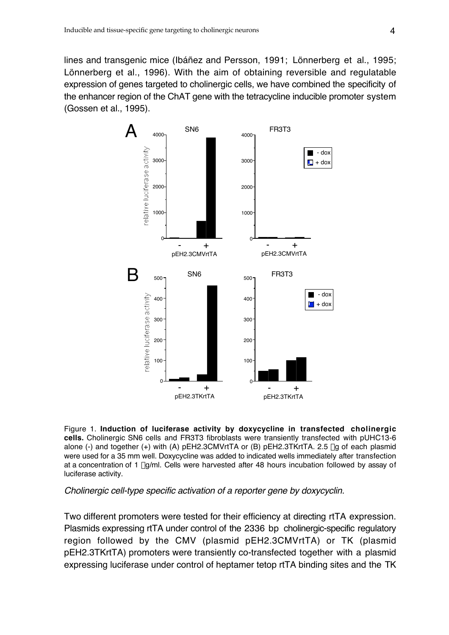lines and transgenic mice (Ibáñez and Persson, 1991; Lönnerberg et al., 1995; Lönnerberg et al., 1996). With the aim of obtaining reversible and regulatable expression of genes targeted to cholinergic cells, we have combined the specificity of the enhancer region of the ChAT gene with the tetracycline inducible promoter system (Gossen et al., 1995).



Figure 1. **Induction of luciferase activity by doxycycline in transfected cholinergic cells.** Cholinergic SN6 cells and FR3T3 fibroblasts were transiently transfected with pUHC13-6 alone (-) and together (+) with (A) pEH2.3CMVrtTA or (B) pEH2.3TKrtTA. 2.5 µg of each plasmid were used for a 35 mm well. Doxycycline was added to indicated wells immediately after transfection at a concentration of 1  $\mu$ g/ml. Cells were harvested after 48 hours incubation followed by assay of luciferase activity.

# Cholinergic cell-type specific activation of a reporter gene by doxycyclin.

Two different promoters were tested for their efficiency at directing rtTA expression. Plasmids expressing rtTA under control of the 2336 bp cholinergic-specific regulatory region followed by the CMV (plasmid pEH2.3CMVrtTA) or TK (plasmid pEH2.3TKrtTA) promoters were transiently co-transfected together with a plasmid expressing luciferase under control of heptamer tetop rtTA binding sites and the TK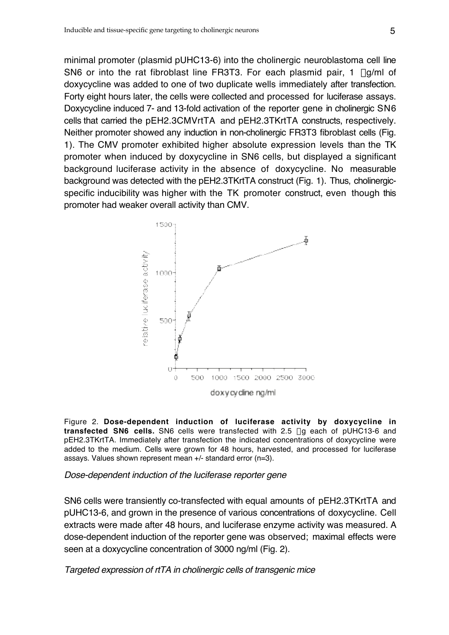minimal promoter (plasmid pUHC13-6) into the cholinergic neuroblastoma cell line SN6 or into the rat fibroblast line FR3T3. For each plasmid pair, 1 ug/ml of doxycycline was added to one of two duplicate wells immediately after transfection. Forty eight hours later, the cells were collected and processed for luciferase assays. Doxycycline induced 7- and 13-fold activation of the reporter gene in cholinergic SN6 cells that carried the pEH2.3CMVrtTA and pEH2.3TKrtTA constructs, respectively. Neither promoter showed any induction in non-cholinergic FR3T3 fibroblast cells (Fig. 1). The CMV promoter exhibited higher absolute expression levels than the TK promoter when induced by doxycycline in SN6 cells, but displayed a significant background luciferase activity in the absence of doxycycline. No measurable background was detected with the pEH2.3TKrtTA construct (Fig. 1). Thus, cholinergicspecific inducibility was higher with the TK promoter construct, even though this promoter had weaker overall activity than CMV.



Figure 2. **Dose-dependent induction of luciferase activity by doxycycline in transfected SN6 cells.** SN6 cells were transfected with 2.5 mg each of pUHC13-6 and pEH2.3TKrtTA. Immediately after transfection the indicated concentrations of doxycycline were added to the medium. Cells were grown for 48 hours, harvested, and processed for luciferase assays. Values shown represent mean +/- standard error (n=3).

# Dose-dependent induction of the luciferase reporter gene

SN6 cells were transiently co-transfected with equal amounts of pEH2.3TKrtTA and pUHC13-6, and grown in the presence of various concentrations of doxycycline. Cell extracts were made after 48 hours, and luciferase enzyme activity was measured. A dose-dependent induction of the reporter gene was observed; maximal effects were seen at a doxycycline concentration of 3000 ng/ml (Fig. 2).

Targeted expression of rtTA in cholinergic cells of transgenic mice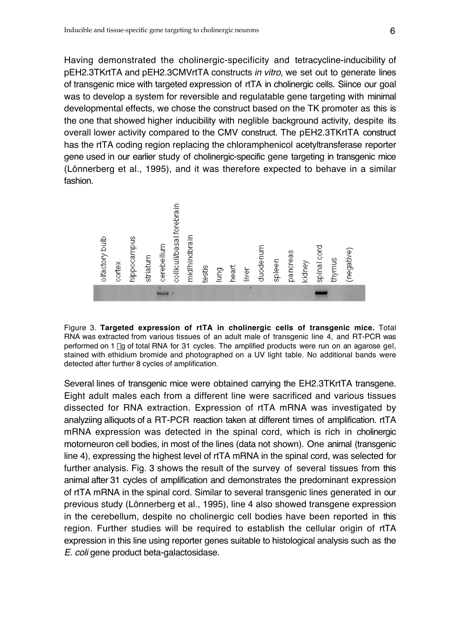Having demonstrated the cholinergic-specificity and tetracycline-inducibility of pEH2.3TKrtTA and pEH2.3CMVrtTA constructs in vitro, we set out to generate lines of transgenic mice with targeted expression of rtTA in cholinergic cells. Siince our goal was to develop a system for reversible and regulatable gene targeting with minimal developmental effects, we chose the construct based on the TK promoter as this is the one that showed higher inducibility with neglible background activity, despite its overall lower activity compared to the CMV construct. The pEH2.3TKrtTA construct has the rtTA coding region replacing the chloramphenicol acetyltransferase reporter gene used in our earlier study of cholinergic-specific gene targeting in transgenic mice (Lönnerberg et al., 1995), and it was therefore expected to behave in a similar fashion.



Figure 3. **Targeted expression of rtTA in cholinergic cells of transgenic mice.** Total RNA was extracted from various tissues of an adult male of transgenic line 4, and RT-PCR was performed on 1 µg of total RNA for 31 cycles. The amplified products were run on an agarose gel, stained with ethidium bromide and photographed on a UV light table. No additional bands were detected after further 8 cycles of amplification.

Several lines of transgenic mice were obtained carrying the EH2.3TKrtTA transgene. Eight adult males each from a different line were sacrificed and various tissues dissected for RNA extraction. Expression of rtTA mRNA was investigated by analyziing alliquots of a RT-PCR reaction taken at different times of amplification. rtTA mRNA expression was detected in the spinal cord, which is rich in cholinergic motorneuron cell bodies, in most of the lines (data not shown). One animal (transgenic line 4), expressing the highest level of rtTA mRNA in the spinal cord, was selected for further analysis. Fig. 3 shows the result of the survey of several tissues from this animal after 31 cycles of amplification and demonstrates the predominant expression of rtTA mRNA in the spinal cord. Similar to several transgenic lines generated in our previous study (Lönnerberg et al., 1995), line 4 also showed transgene expression in the cerebellum, despite no cholinergic cell bodies have been reported in this region. Further studies will be required to establish the cellular origin of rtTA expression in this line using reporter genes suitable to histological analysis such as the E. coli gene product beta-galactosidase.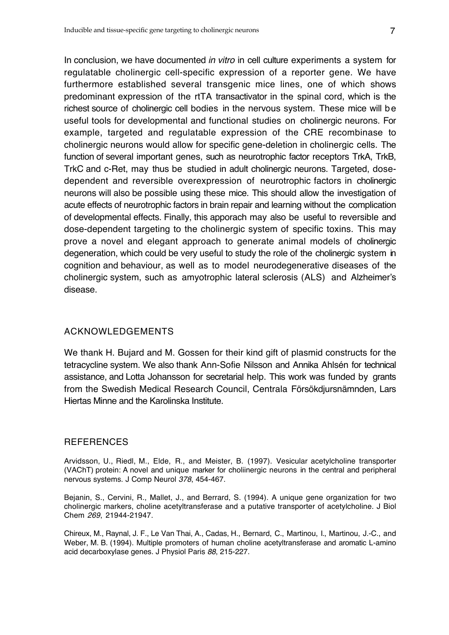In conclusion, we have documented in vitro in cell culture experiments a system for regulatable cholinergic cell-specific expression of a reporter gene. We have furthermore established several transgenic mice lines, one of which shows predominant expression of the rtTA transactivator in the spinal cord, which is the richest source of cholinergic cell bodies in the nervous system. These mice will be useful tools for developmental and functional studies on cholinergic neurons. For example, targeted and regulatable expression of the CRE recombinase to cholinergic neurons would allow for specific gene-deletion in cholinergic cells. The function of several important genes, such as neurotrophic factor receptors TrkA, TrkB, TrkC and c-Ret, may thus be studied in adult cholinergic neurons. Targeted, dosedependent and reversible overexpression of neurotrophic factors in cholinergic neurons will also be possible using these mice. This should allow the investigation of acute effects of neurotrophic factors in brain repair and learning without the complication of developmental effects. Finally, this apporach may also be useful to reversible and dose-dependent targeting to the cholinergic system of specific toxins. This may prove a novel and elegant approach to generate animal models of cholinergic degeneration, which could be very useful to study the role of the cholinergic system in cognition and behaviour, as well as to model neurodegenerative diseases of the cholinergic system, such as amyotrophic lateral sclerosis (ALS) and Alzheimer's disease.

# ACKNOWLEDGEMENTS

We thank H. Bujard and M. Gossen for their kind gift of plasmid constructs for the tetracycline system. We also thank Ann-Sofie Nilsson and Annika Ahlsén for technical assistance, and Lotta Johansson for secretarial help. This work was funded by grants from the Swedish Medical Research Council, Centrala Försökdjursnämnden, Lars Hiertas Minne and the Karolinska Institute.

# REFERENCES

Arvidsson, U., Riedl, M., Elde, R., and Meister, B. (1997). Vesicular acetylcholine transporter (VAChT) protein: A novel and unique marker for choliinergic neurons in the central and peripheral nervous systems. J Comp Neurol 378, 454-467.

Bejanin, S., Cervini, R., Mallet, J., and Berrard, S. (1994). A unique gene organization for two cholinergic markers, choline acetyltransferase and a putative transporter of acetylcholine. J Biol Chem 269, 21944-21947.

Chireux, M., Raynal, J. F., Le Van Thai, A., Cadas, H., Bernard, C., Martinou, I., Martinou, J.-C., and Weber, M. B. (1994). Multiple promoters of human choline acetyltransferase and aromatic L-amino acid decarboxylase genes. J Physiol Paris 88, 215-227.